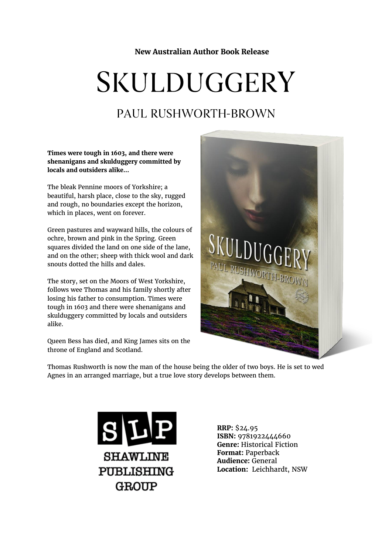**New Australian Author Book Release**

# **SKULDUGGERY**

## PAUL RUSHWORTH-BROWN

**Times were tough in 1603, and there were shenanigans and skulduggery committed by locals and outsiders alike...**

The bleak Pennine moors of Yorkshire; a beautiful, harsh place, close to the sky, rugged and rough, no boundaries except the horizon, which in places, went on forever.

Green pastures and wayward hills, the colours of ochre, brown and pink in the Spring. Green squares divided the land on one side of the lane, and on the other; sheep with thick wool and dark snouts dotted the hills and dales.

The story, set on the Moors of West Yorkshire, follows wee Thomas and his family shortly after losing his father to consumption. Times were tough in 1603 and there were shenanigans and skulduggery committed by locals and outsiders alike.

Queen Bess has died, and King James sits on the throne of England and Scotland.



Thomas Rushworth is now the man of the house being the older of two boys. He is set to wed Agnes in an arranged marriage, but a true love story develops between them.



**RRP:** \$24.95 **ISBN:** 9781922444660 **Genre:** Historical Fiction **Format:** Paperback **Audience:** General **Location:** Leichhardt, NSW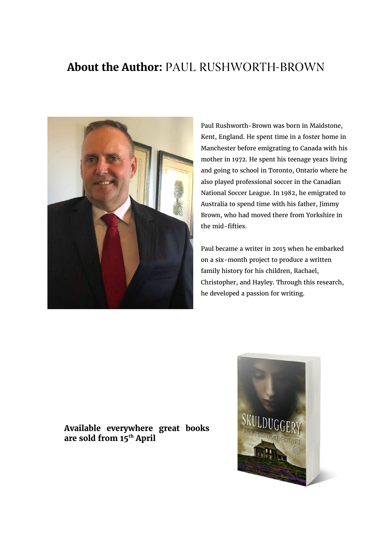## **About the Author: PAUL RUSHWORTH-BROWN**



Paul Rushworth-Brown was born in Maidstone, Kent, England. He spent time in a foster home in Manchester before emigrating to Canada with his mother in 1972. He spent his teenage years living and going to school in Toronto, Ontario where he also played professional soccer in the Canadian National Soccer League. In 1982, he emigrated to Australia to spend time with his father, Jimmy Brown, who had moved there from Yorkshire in the mid-fifties.

Paul became a writer in 2015 when he embarked on a six-month project to produce a written family history for his children, Rachael, Christopher, and Hayley. Through this research, he developed a passion for writing.

### **Available everywhere great books are sold from 15th April**